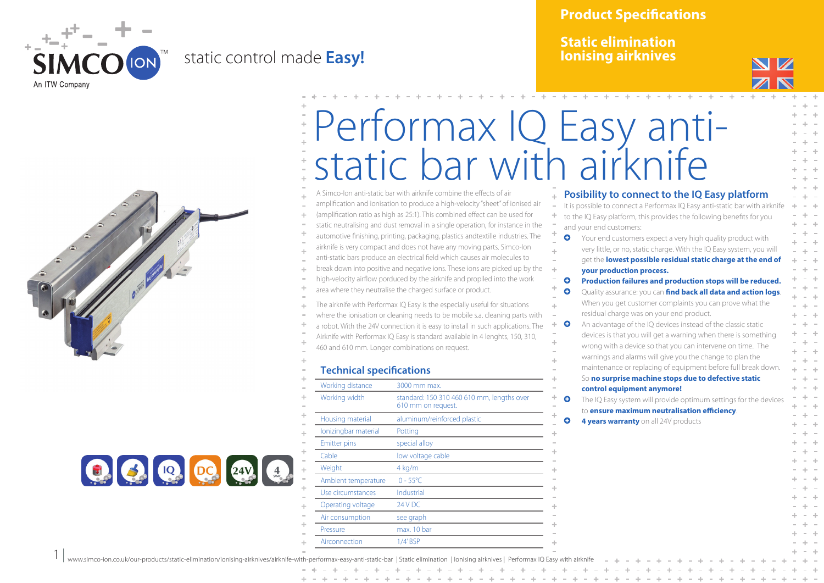

 $1 |$ 

## static control made **Easy!**



**Static elimination Ionising airknives**







## Performax IQ Easy antistatic bar with airknife

A Simco-Ion anti-static bar with airknife combine the effects of air amplification and ionisation to produce a high-velocity "sheet" of ionised air (amplification ratio as high as 25:1). This combined effect can be used for static neutralising and dust removal in a single operation, for instance in the automotive finishing, printing, packaging, plastics andtextille industries. The airknife is very compact and does not have any moving parts. Simco-Ion anti-static bars produce an electrical field which causes air molecules to break down into positive and negative ions. These ions are picked up by the high-velocity airflow porduced by the airknife and proplled into the work area where they neutralise the charged surface or product.

The airknife with Performax IQ Easy is the especially useful for situations where the ionisation or cleaning needs to be mobile s.a. cleaning parts with a robot. With the 24V connection it is easy to install in such applications. The Airknife with Performax IQ Easy is standard available in 4 lenghts, 150, 310, 460 and 610 mm. Longer combinations on request.

## **Technical specifications**

| Working distance     | 3000 mm max.                                                     |
|----------------------|------------------------------------------------------------------|
| Working width        | standard: 150 310 460 610 mm, lengths over<br>610 mm on request. |
| Housing material     | aluminum/reinforced plastic                                      |
| lonizingbar material | Potting                                                          |
| <b>Emitter pins</b>  | special alloy                                                    |
| Cable                | low voltage cable                                                |
| Weight               | $4$ kg/m                                                         |
| Ambient temperature  | $0 - 55^{\circ}$ C                                               |
| Use circumstances    | Industrial                                                       |
| Operating voltage    | 24 V DC                                                          |
| Air consumption      | see graph                                                        |
| Pressure             | max. 10 bar                                                      |
| Airconnection        | 1/4'BSP                                                          |

## **Posibility to connect to the IQ Easy platform**

It is possible to connect a Performax IQ Easy anti-static bar with airknife to the IQ Easy platform, this provides the following benefits for you and your end customers: **Q** Your end customers expect a very high quality product with very little, or no, static charge. With the IQ Easy system, you will get the **lowest possible residual static charge at the end of your production process. Q** Production failures and production stops will be reduced. **C** Quality assurance: you can **find back all data and action logs**. When you get customer complaints you can prove what the residual charge was on your end product. **Q** An advantage of the IQ devices instead of the classic static devices is that you will get a warning when there is something wrong with a device so that you can intervene on time. The warnings and alarms will give you the change to plan the maintenance or replacing of equipment before full break down. So **no surprise machine stops due to defective static control equipment anymore! O** The IQ Easy system will provide optimum settings for the devices to **ensure maximum neutralisation efficiency**. **4 years warranty** on all 24V products

www.simco-ion.co.uk/our-products/static-elimination/ionising-airknives/airknife-with-performax-easy-anti-static-bar | Static elimination | Ionising airknives | Performax IQ Easy with airknife